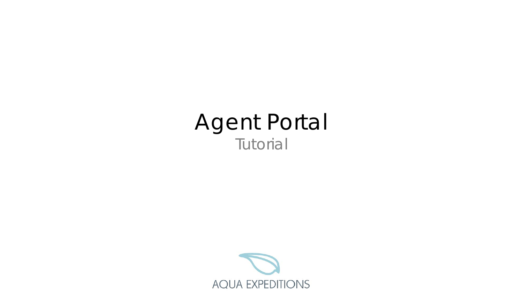# Agent Portal Tutorial

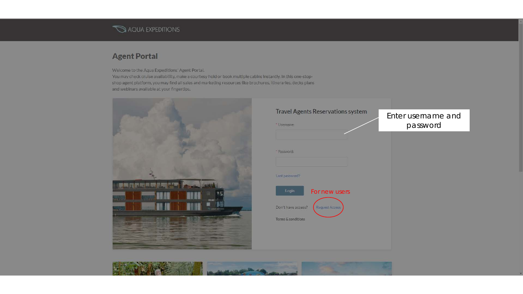## AQUA EXPEDITIONS

## **Agent Portal**

Welcome to the Aqua Expeditions' Agent Portal,

You may check cruise availability, make a courtesy hold or book multiple cabins instantly. In this one-stopshop agent platform, you may find all sales and marketing resources like brochures, itineraries, decks plans and webinars available at your fingertips.



| <b>Travel Agents Reservations system</b><br>* Username: | Enter username and<br>password |
|---------------------------------------------------------|--------------------------------|
|                                                         |                                |
| * Password:                                             |                                |
|                                                         |                                |
| Lost password?                                          |                                |
| Login<br>For new users                                  |                                |
|                                                         |                                |
| Request Access<br>Don't have access?                    |                                |

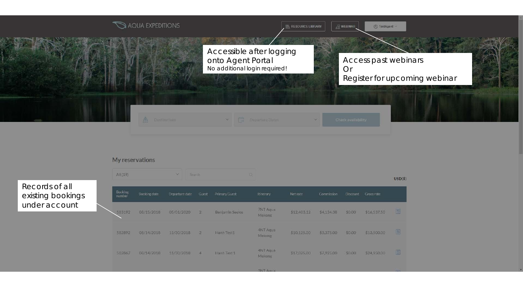

#### My reservations

*Records of all existing bookings under account*

| All (19)          |              | $\vee$         | o.<br>Seach    |                      |                                   |             |            |                 |             |   |
|-------------------|--------------|----------------|----------------|----------------------|-----------------------------------|-------------|------------|-----------------|-------------|---|
| Booking<br>number | Booking date | Departure date | Guest          | <b>Primary Guest</b> | Itinerary                         | Net rate    | Commission | <b>Discount</b> | Gross rate  |   |
| 583192            | 08/15/2018   | 05/01/2020     | $\overline{2}$ | Benjamin Seelos      | <b>7NT Agua</b><br>Mekong         | \$12,403.12 | 54,134,38  | \$0.00          | \$16,537.50 | 圖 |
| 582892            | 08/14/2018   | 11/30/2018     | $\mathbb{Z}$   | Hanh Test1           | <b>4NT Agua</b><br>Mekong         | \$10,125.00 | \$3,375.00 | \$0.00          | \$13,500.00 | 圓 |
| 582867            | 08/14/2018   | 11/30/2018     | $\overline{A}$ | Hanh Test 1          | <b>4NT Aqua</b><br>Mekong:        | \$17,025.00 | \$7,925.00 | \$0.00          | \$24,950.00 | 圓 |
|                   |              |                |                |                      | The State County of the County of |             |            |                 |             |   |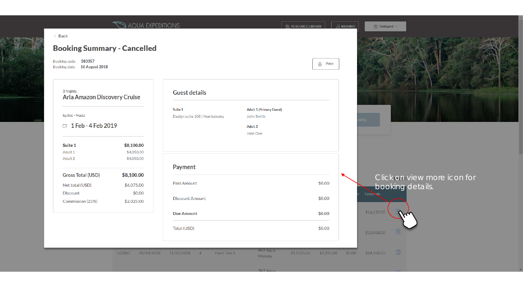| <b>Booking Summary - Cancelled</b>                           |                                        |                                           |                                                                     |                |                                                 |
|--------------------------------------------------------------|----------------------------------------|-------------------------------------------|---------------------------------------------------------------------|----------------|-------------------------------------------------|
| 583357<br><b>Booking code</b><br>Booking date 16 August 2018 |                                        |                                           |                                                                     | <b>高</b> Print |                                                 |
| 3 Nights<br>Aria Amazon Discovery Cruise                     |                                        | <b>Guest details</b>                      |                                                                     |                |                                                 |
| Iquitos > Nauta<br><b>□ 1 Feb - 4 Feb 2019</b>               |                                        | Suite 1<br>Design suite 108   Non balcony | <b>Adult 1 (Primary Guest)</b><br>John Smith<br>Adult 2<br>Jane Doe |                |                                                 |
| Suite 1<br>Adult 1<br>Adult 2                                | \$8,100.00<br>\$4,050.00<br>\$4,050.00 |                                           |                                                                     |                |                                                 |
| <b>Gross Total (USD)</b>                                     | \$8,100.00                             | Payment                                   |                                                                     |                |                                                 |
| Net total (USD)                                              | \$6,075.00                             | Paid Amount                               |                                                                     | \$0.00         | Click on view more icon for<br>booking details. |
| <b>Discount</b><br>Commission (25%)                          | \$0.00<br>\$2,025.00                   | <b>Discount Amount</b>                    |                                                                     | \$0.00         | <b>Grosshate</b>                                |
|                                                              |                                        | <b>Due Amount</b>                         |                                                                     | \$0.00         | \$16,537.50                                     |
|                                                              |                                        | Total (USD)                               |                                                                     | \$0.00         | 眉<br>\$13,500.00                                |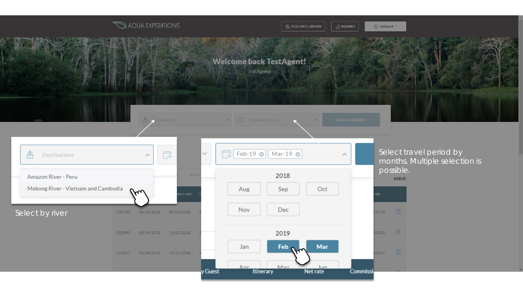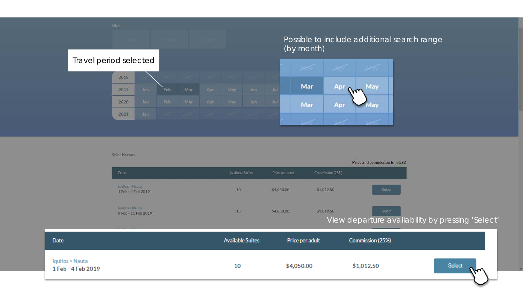

#### Select itinerary

|                                      |                                        |                         |                 |                  | Price and commission is in USD |                                                  |
|--------------------------------------|----------------------------------------|-------------------------|-----------------|------------------|--------------------------------|--------------------------------------------------|
|                                      | Date                                   | Available Suites        | Price per adult | Commission (25%) |                                |                                                  |
|                                      | Iquitos > Nauta<br>1 Feb - 4 Feb 2019  | 10                      | \$4,050.00      | \$1,012.50       | Select                         |                                                  |
|                                      | Iquitos > Nauta<br>8 Feb - 11 Feb 2019 | 15                      | \$4,050.00      | \$1,012.50       | Select                         | View departure availability by pressing 'Select' |
|                                      |                                        |                         |                 |                  |                                |                                                  |
| Date                                 |                                        | <b>Available Suites</b> | Price per adult |                  | Commission (25%)               |                                                  |
| quitos > Nauta<br>1 Feb - 4 Feb 2019 |                                        | 10                      | \$4,050.00      |                  | \$1,012.50                     | Select<br>m                                      |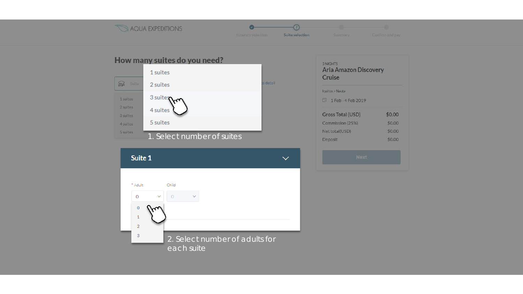#### AQUA EXPEDITIONS



 $\varpi$ 

Suite selection

 $\overline{(\overline{z})}$ 





#### 3 NIGHTS Aria Amazon Discovery Cruise

Iquitos > Nauta

1 Feb - 4 Feb 2019

| <b>Gross Total (USD)</b> | \$0.00 |
|--------------------------|--------|
| Commission (25%)         | \$0.00 |
| Net total(USD)           | \$0.00 |
| Deposit                  | \$0.00 |

| вs<br>$\sim$<br>٠<br>١ |
|------------------------|
|                        |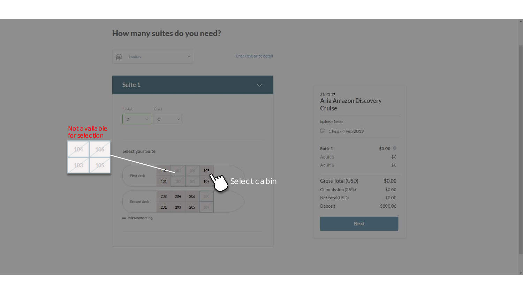#### How many suites do you need?



| Cruise             |                   |
|--------------------|-------------------|
| Iquitos > Nauta    |                   |
| 1 Feb - 4 Feb 2019 |                   |
| Suite1             | $$0.00$ $\degree$ |
| Adult 1            | \$0               |
| Adult <sub>2</sub> | \$0               |
| Gross Total (USD)  | \$0.00            |
| Commission (25%)   | \$0.00            |
| Net total(USD)     | \$0.00            |
| Deposit            | \$800.00          |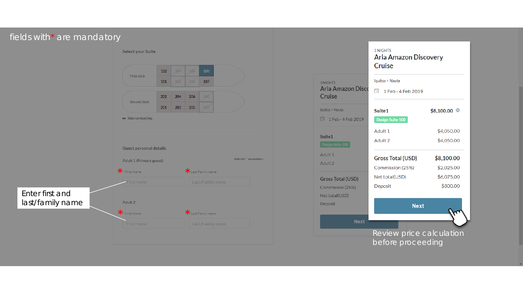| fields with* are mandatory |                         |     |            |     |                           |                             |  |                                    |                                          |                          |
|----------------------------|-------------------------|-----|------------|-----|---------------------------|-----------------------------|--|------------------------------------|------------------------------------------|--------------------------|
|                            | Select your Suite       |     |            |     |                           |                             |  |                                    | 3 NIGHTS<br><b>Aria Amazon Discovery</b> |                          |
|                            | First deck              | 102 | <b>UUL</b> | 105 | 108                       |                             |  |                                    | Cruise                                   |                          |
|                            |                         | 101 | 103        | 305 | 107                       |                             |  | 3 NIGHTS                           | Iquitos > Nauta                          |                          |
|                            |                         | 202 | 204        | 206 | 209                       |                             |  | <b>Aria Amazon Disco</b><br>Cruise | <sup>第</sup> 1 Feb - 4 Feb 2019          |                          |
|                            | Second deck             |     |            |     |                           |                             |  |                                    |                                          |                          |
|                            |                         | 201 | 203        | 205 | 207                       |                             |  | Iquitos > Nauta                    | Suite1                                   | $$8,100.00$ $\heartsuit$ |
|                            | in Interconnecting      |     |            |     |                           |                             |  | <sup>2</sup> 1 Feb - 4 Feb 2019    | Design Suite 108                         |                          |
|                            |                         |     |            |     |                           |                             |  | Suite1                             | Adult 1                                  | \$4,050.00               |
|                            |                         |     |            |     |                           |                             |  | Design Suite 108                   | Adult 2                                  | \$4,050.00               |
|                            | Guest personal details  |     |            |     |                           |                             |  | Adult <sub>1</sub>                 |                                          |                          |
|                            | Adult 1 (Primary guest) |     |            |     |                           | fields with 1 are mandatory |  | Adult 2                            | <b>Gross Total (USD)</b>                 | \$8,100.00               |
|                            | * First Name            |     |            |     | * Last/Family name        |                             |  |                                    | Commission (25%)<br>Net total(USD)       | \$2,025.00<br>\$6,075.00 |
|                            | First name              |     |            |     | Last/Family name          |                             |  | Gross Total (USD)                  | Deposit                                  | \$800.00                 |
| Enter first and            |                         |     |            |     |                           |                             |  | Commission (25%)<br>Net total(USD) |                                          |                          |
| last/family name           | Adult 2                 |     |            |     |                           |                             |  | Deposit                            | <b>Next</b>                              |                          |
|                            | * First Name            |     |            |     | <b>*</b> Lest Family name |                             |  |                                    |                                          |                          |
|                            | <b>First name</b>       |     |            |     | Last/Family name          |                             |  | Next                               |                                          |                          |
|                            |                         |     |            |     |                           |                             |  |                                    | Review price calculation                 |                          |
|                            |                         |     |            |     |                           |                             |  |                                    | before proceeding                        |                          |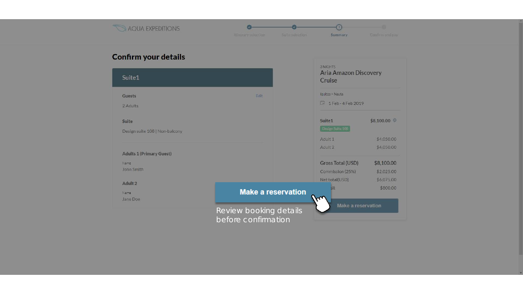

## **Confirm your details**

| Suite1                          |                                               | <b>SINIGHTS</b><br><b>Aria Amazon Discovery</b><br>Cruise |            |
|---------------------------------|-----------------------------------------------|-----------------------------------------------------------|------------|
| <b>Guests</b>                   | Edit                                          | lquitos > Nauta                                           |            |
| 2 Adults                        |                                               | 1 Feb - 4 Feb 2019                                        |            |
| <b>Suite</b>                    |                                               | Suite1                                                    | \$8,100.00 |
| Design suite 108   Non-balcony  |                                               | Design Suite 108                                          |            |
|                                 |                                               | Adult <sub>1</sub>                                        | \$4,050.00 |
| <b>Adults 1 (Primary Guest)</b> |                                               | Adult <sub>2</sub>                                        | \$4,050.00 |
| <b>Name</b>                     |                                               | Gross Total (USD)                                         | \$8,100.00 |
| John Smith                      |                                               | Commission (25%)                                          | \$2,025.00 |
| Adult 2                         |                                               | Net total(USD)                                            | \$6,075.00 |
| Name                            | <b>Make a reservation</b>                     | sit<br>$\mathcal{F}^{\prime}$                             | \$800.00   |
| Jane Doe                        | Review booking details<br>before confirmation | Make a reservation                                        |            |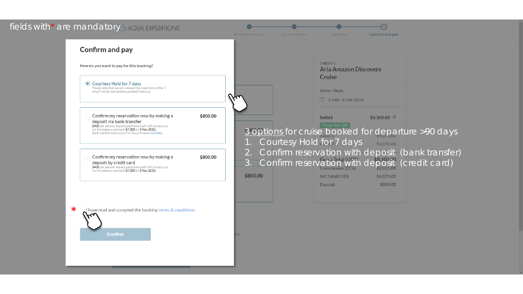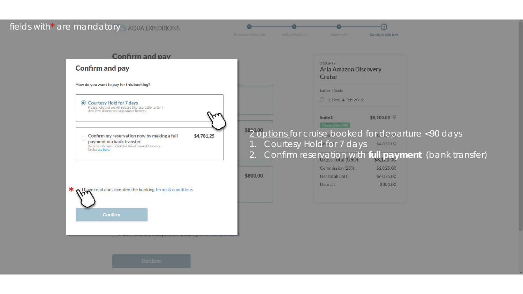#### fields with\* are mandatory AQUA EXPEDITIONS

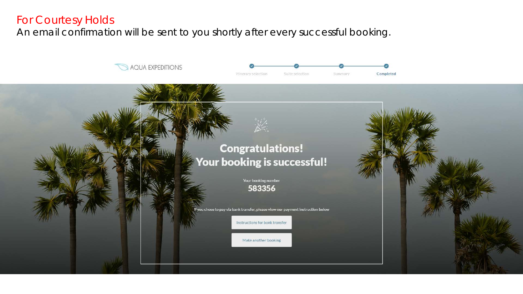# For Courtesy Holds

An email confirmation will be sent to you shortly after every successful booking.

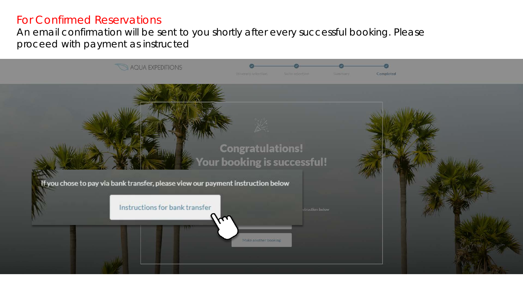# For Confirmed Reservations

An email confirmation will be sent to you shortly after every successful booking. Please proceed with payment as instructed

![](_page_13_Picture_2.jpeg)